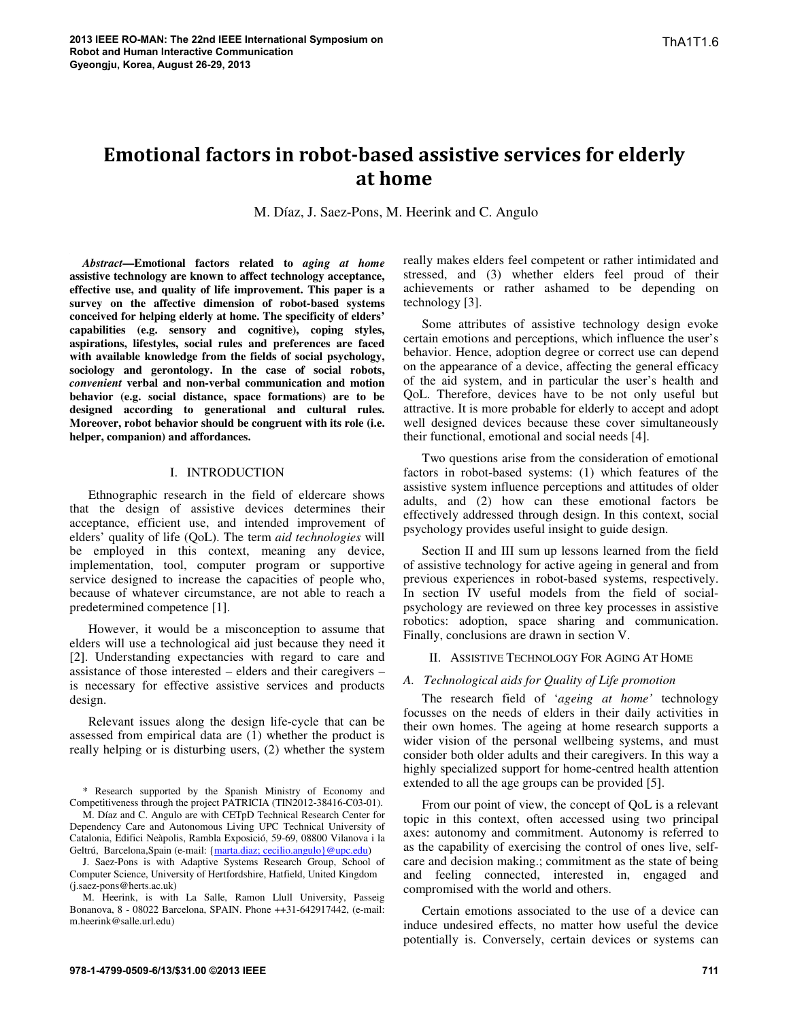# **Emotional factors in robot-based assistive services for elderly at home**

M. Díaz, J. Saez-Pons, M. Heerink and C. Angulo

*Abstract***—Emotional factors related to** *aging at home* **assistive technology are known to affect technology acceptance, effective use, and quality of life improvement. This paper is a survey on the affective dimension of robot-based systems conceived for helping elderly at home. The specificity of elders' capabilities (e.g. sensory and cognitive), coping styles, aspirations, lifestyles, social rules and preferences are faced with available knowledge from the fields of social psychology, sociology and gerontology. In the case of social robots,** *convenient* **verbal and non-verbal communication and motion behavior (e.g. social distance, space formations) are to be designed according to generational and cultural rules. Moreover, robot behavior should be congruent with its role (i.e. helper, companion) and affordances.**

### I. INTRODUCTION

Ethnographic research in the field of eldercare shows that the design of assistive devices determines their acceptance, efficient use, and intended improvement of elders' quality of life (QoL). The term *aid technologies* will be employed in this context, meaning any device, implementation, tool, computer program or supportive service designed to increase the capacities of people who, because of whatever circumstance, are not able to reach a predetermined competence [1].

However, it would be a misconception to assume that elders will use a technological aid just because they need it [2]. Understanding expectancies with regard to care and assistance of those interested – elders and their caregivers – is necessary for effective assistive services and products design.

Relevant issues along the design life-cycle that can be assessed from empirical data are (1) whether the product is really helping or is disturbing users, (2) whether the system

M. Heerink, is with La Salle, Ramon Llull University, Passeig Bonanova, 8 - 08022 Barcelona, SPAIN. Phone ++31-642917442, (e-mail: m.heerink@salle.url.edu)

really makes elders feel competent or rather intimidated and stressed, and (3) whether elders feel proud of their achievements or rather ashamed to be depending on technology [3].

Some attributes of assistive technology design evoke certain emotions and perceptions, which influence the user's behavior. Hence, adoption degree or correct use can depend on the appearance of a device, affecting the general efficacy of the aid system, and in particular the user's health and QoL. Therefore, devices have to be not only useful but attractive. It is more probable for elderly to accept and adopt well designed devices because these cover simultaneously their functional, emotional and social needs [4].

Two questions arise from the consideration of emotional factors in robot-based systems: (1) which features of the assistive system influence perceptions and attitudes of older adults, and (2) how can these emotional factors be effectively addressed through design. In this context, social psychology provides useful insight to guide design.

Section II and III sum up lessons learned from the field of assistive technology for active ageing in general and from previous experiences in robot-based systems, respectively. In section IV useful models from the field of socialpsychology are reviewed on three key processes in assistive robotics: adoption, space sharing and communication. Finally, conclusions are drawn in section V.

# II. ASSISTIVE TECHNOLOGY FOR AGING AT HOME

### *A. Technological aids for Quality of Life promotion*

The research field of '*ageing at home'* technology focusses on the needs of elders in their daily activities in their own homes. The ageing at home research supports a wider vision of the personal wellbeing systems, and must consider both older adults and their caregivers. In this way a highly specialized support for home-centred health attention extended to all the age groups can be provided [5].

From our point of view, the concept of QoL is a relevant topic in this context, often accessed using two principal axes: autonomy and commitment. Autonomy is referred to as the capability of exercising the control of ones live, selfcare and decision making.; commitment as the state of being and feeling connected, interested in, engaged and compromised with the world and others.

Certain emotions associated to the use of a device can induce undesired effects, no matter how useful the device potentially is. Conversely, certain devices or systems can

<sup>\*</sup> Research supported by the Spanish Ministry of Economy and Competitiveness through the project PATRICIA (TIN2012-38416-C03-01).

M. Díaz and C. Angulo are with CETpD Technical Research Center for Dependency Care and Autonomous Living UPC Technical University of Catalonia, Edifici Neàpolis, Rambla Exposició, 59-69, 08800 Vilanova i la Geltrú, Barcelona, Spain (e-mail: {marta.diaz; cecilio.angulo}@upc.edu)

J. Saez-Pons is with Adaptive Systems Research Group, School of Computer Science, University of Hertfordshire, Hatfield, United Kingdom (j.saez-pons@herts.ac.uk)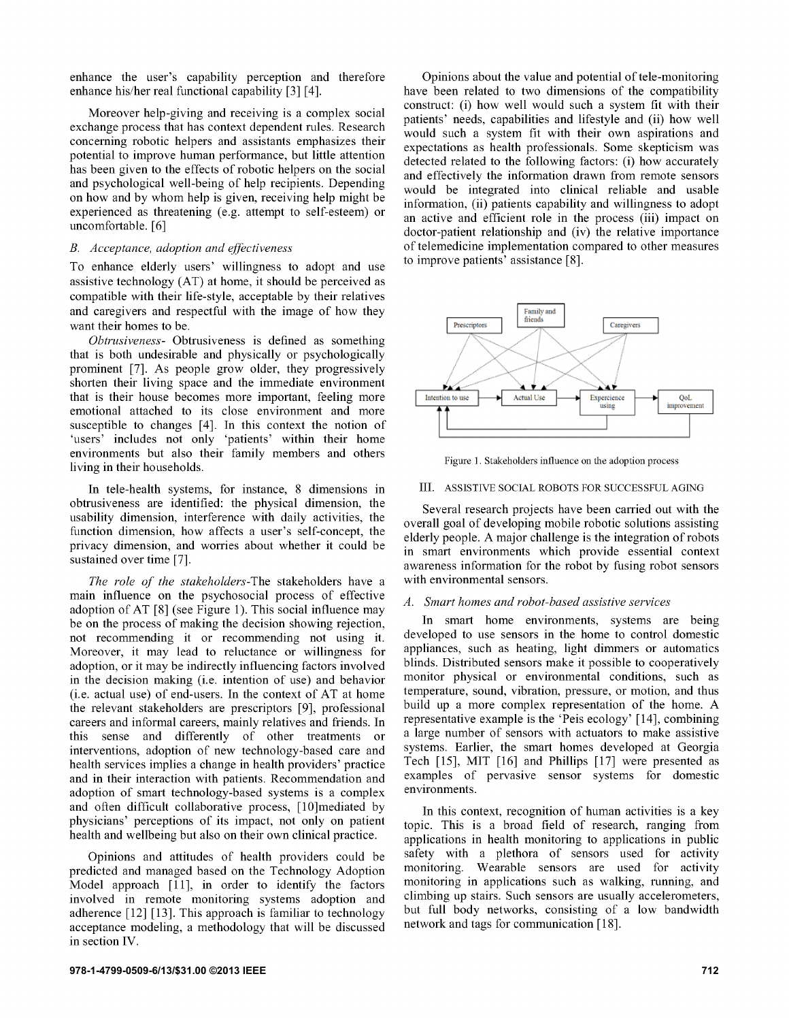enhance the user's capability perception and therefore enhance his/her real functional capability [3] [4].

Moreover help-giving and receiving is a complex social exchange process that has context dependent rules. Research concerning robotic helpers and assistants emphasizes their potential to improve human performance, but little attention has been given to the effects of robotic helpers on the social and psychological well-being of help recipients. Depending on how and by whom help is given, receiving help might be experienced as threatening (e.g. attempt to self-esteem) or uncomfortable. [6]

# B. Acceptance, adoption and effectiveness

To enhance elderly users' willingness to adopt and use assistive technology (AT) at home, it should be perceived as compatible with their life-style, acceptable by their relatives and caregivers and respectful with the image of how they want their homes to be.

Obtrusiveness- Obtrusiveness is defined as something that is both undesirable and physically or psychologically prominent [7]. As people grow older, they progressively shorten their living space and the immediate environment that is their house becomes more important, feeling more emotional attached to its close environment and more susceptible to changes [4]. In this context the notion of 'users' includes not only 'patients' within their home environments but also their family members and others living in their households.

In tele-health systems, for instance, 8 dimensions in obtrusiveness are identified: the physical dimension, the usability dimension, interference with daily activities, the function dimension, how affects a user's self-concept, the privacy dimension, and worries about whether it could be sustained over time [7].

The role of the stakeholders-The stakeholders have a main influence on the psychosocial process of effective adoption of AT [8] (see Figure 1). This social influence may be on the process of making the decision showing rejection, not recommending it or recommending not using it. Moreover, it may lead to reluctance or willingness for adoption, or it may be indirectly influencing factors involved in the decision making (i.e. intention of use) and behavior (i.e. actual use) of end-users. In the context of AT at home the relevant stakeholders are prescriptors [9], professional careers and informal careers, mainly relatives and friends. In this sense and differently of other treatments **or** interventions, adoption of new technology-based care and health services implies a change in health providers' practice and in their interaction with patients. Recommendation and adoption of smart technology-based systems is a complex and often difficult collaborative process, [10] mediated by physicians' perceptions of its impact, not only on patient health and wellbeing but also on their own clinical practice.

Opinions and attitudes of health providers could be predicted and managed based on the Technology Adoption Model approach [11], in order to identify the factors involved in remote monitoring systems adoption and adherence [12] [13]. This approach is familiar to technology acceptance modeling, a methodology that will be discussed in section IV.

Opinions about the value and potential of tele-monitoring have been related to two dimensions of the compatibility construct: (i) how well would such a system fit with their patients' needs, capabilities and lifestyle and (ii) how well would such a system fit with their own aspirations and expectations as health professionals. Some skepticism was detected related to the following factors: (i) how accurately and effectively the information drawn from remote sensors would be integrated into clinical reliable and usable information, (ii) patients capability and willingness to adopt an active and efficient role in the process (iii) impact on doctor-patient relationship and (iv) the relative importance of telemedicine implementation compared to other measures to improve patients' assistance [8].



Figure 1. Stakeholders influence on the adoption process

#### III. ASSISTIVE SOCIAL ROBOTS FOR SUCCESSFUL AGING

Several research projects have been carried out with the overall goal of developing mobile robotic solutions assisting elderly people. A major challenge is the integration of robots in smart environments which provide essential context awareness information for the robot by fusing robot sensors with environmental sensors.

### A. Smart homes and robot-based assistive services

In smart home environments, systems are being developed to use sensors in the home to control domestic appliances, such as heating, light dimmers or automatics blinds. Distributed sensors make it possible to cooperatively monitor physical or environmental conditions, such as temperature, sound, vibration, pressure, or motion, and thus build up a more complex representation of the home. A representative example is the 'Peis ecology' [14], combining a large number of sensors with actuators to make assistive systems. Earlier, the smart homes developed at Georgia Tech [15], MIT [16] and Phillips [17] were presented as examples of pervasive sensor systems for domestic environments.

In this context, recognition of human activities is a key topic. This is a broad field of research, ranging from applications in health monitoring to applications in public safety with a plethora of sensors used for activity monitoring. Wearable sensors are used for activity monitoring in applications such as walking, running, and climbing up stairs. Such sensors are usually accelerometers, but full body networks, consisting of a low bandwidth network and tags for communication [18].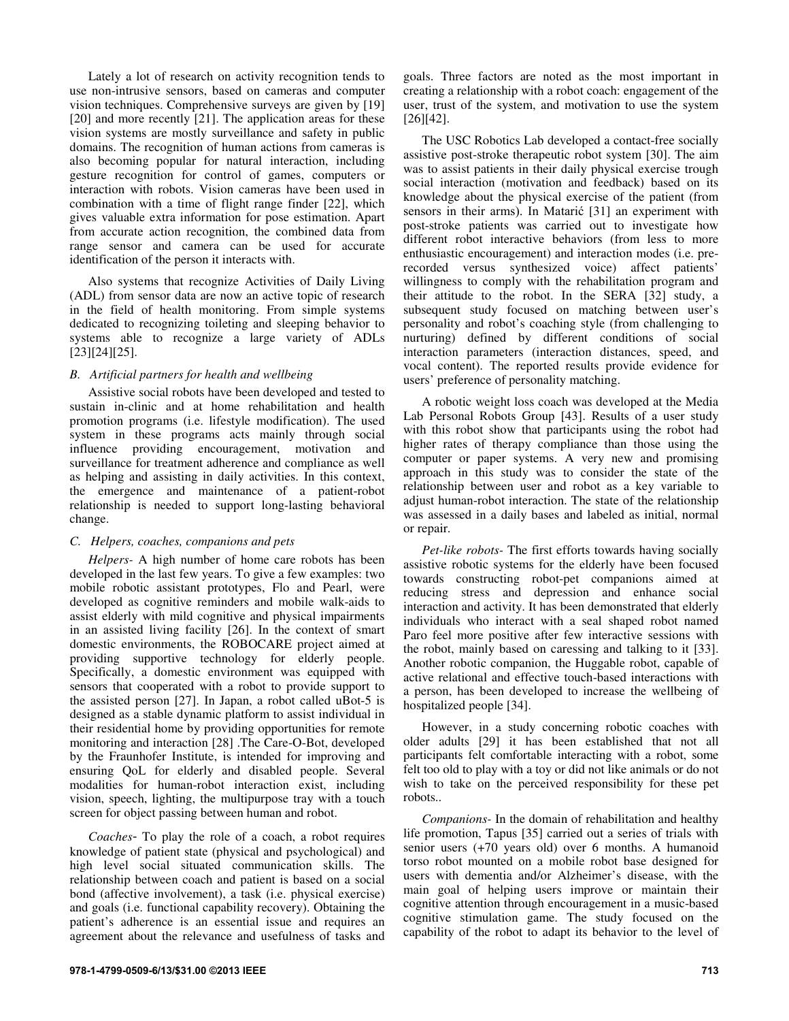Lately a lot of research on activity recognition tends to use non-intrusive sensors, based on cameras and computer vision techniques. Comprehensive surveys are given by [19] [20] and more recently [21]. The application areas for these vision systems are mostly surveillance and safety in public domains. The recognition of human actions from cameras is also becoming popular for natural interaction, including gesture recognition for control of games, computers or interaction with robots. Vision cameras have been used in combination with a time of flight range finder [22], which gives valuable extra information for pose estimation. Apart from accurate action recognition, the combined data from range sensor and camera can be used for accurate identification of the person it interacts with.

Also systems that recognize Activities of Daily Living (ADL) from sensor data are now an active topic of research in the field of health monitoring. From simple systems dedicated to recognizing toileting and sleeping behavior to systems able to recognize a large variety of ADLs [23][24][25].

# *B. Artificial partners for health and wellbeing*

Assistive social robots have been developed and tested to sustain in-clinic and at home rehabilitation and health promotion programs (i.e. lifestyle modification). The used system in these programs acts mainly through social influence providing encouragement, motivation and surveillance for treatment adherence and compliance as well as helping and assisting in daily activities. In this context, the emergence and maintenance of a patient-robot relationship is needed to support long-lasting behavioral change.

#### *C. Helpers, coaches, companions and pets*

*Helpers-* A high number of home care robots has been developed in the last few years. To give a few examples: two mobile robotic assistant prototypes, Flo and Pearl, were developed as cognitive reminders and mobile walk-aids to assist elderly with mild cognitive and physical impairments in an assisted living facility [26]. In the context of smart domestic environments, the ROBOCARE project aimed at providing supportive technology for elderly people. Specifically, a domestic environment was equipped with sensors that cooperated with a robot to provide support to the assisted person [27]. In Japan, a robot called uBot-5 is designed as a stable dynamic platform to assist individual in their residential home by providing opportunities for remote monitoring and interaction [28] .The Care-O-Bot, developed by the Fraunhofer Institute, is intended for improving and ensuring QoL for elderly and disabled people. Several modalities for human-robot interaction exist, including vision, speech, lighting, the multipurpose tray with a touch screen for object passing between human and robot.

*Coaches*- To play the role of a coach, a robot requires knowledge of patient state (physical and psychological) and high level social situated communication skills. The relationship between coach and patient is based on a social bond (affective involvement), a task (i.e. physical exercise) and goals (i.e. functional capability recovery). Obtaining the patient's adherence is an essential issue and requires an agreement about the relevance and usefulness of tasks and goals. Three factors are noted as the most important in creating a relationship with a robot coach: engagement of the user, trust of the system, and motivation to use the system [26][42].

The USC Robotics Lab developed a contact-free socially assistive post-stroke therapeutic robot system [30]. The aim was to assist patients in their daily physical exercise trough social interaction (motivation and feedback) based on its knowledge about the physical exercise of the patient (from sensors in their arms). In Matarić  $[31]$  an experiment with post-stroke patients was carried out to investigate how different robot interactive behaviors (from less to more enthusiastic encouragement) and interaction modes (i.e. prerecorded versus synthesized voice) affect patients' willingness to comply with the rehabilitation program and their attitude to the robot. In the SERA [32] study, a subsequent study focused on matching between user's personality and robot's coaching style (from challenging to nurturing) defined by different conditions of social interaction parameters (interaction distances, speed, and vocal content). The reported results provide evidence for users' preference of personality matching.

A robotic weight loss coach was developed at the Media Lab Personal Robots Group [43]. Results of a user study with this robot show that participants using the robot had higher rates of therapy compliance than those using the computer or paper systems. A very new and promising approach in this study was to consider the state of the relationship between user and robot as a key variable to adjust human-robot interaction. The state of the relationship was assessed in a daily bases and labeled as initial, normal or repair.

*Pet-like robots-* The first efforts towards having socially assistive robotic systems for the elderly have been focused towards constructing robot-pet companions aimed at reducing stress and depression and enhance social interaction and activity. It has been demonstrated that elderly individuals who interact with a seal shaped robot named Paro feel more positive after few interactive sessions with the robot, mainly based on caressing and talking to it [33]. Another robotic companion, the Huggable robot, capable of active relational and effective touch-based interactions with a person, has been developed to increase the wellbeing of hospitalized people [34].

However, in a study concerning robotic coaches with older adults [29] it has been established that not all participants felt comfortable interacting with a robot, some felt too old to play with a toy or did not like animals or do not wish to take on the perceived responsibility for these pet robots..

*Companions-* In the domain of rehabilitation and healthy life promotion, Tapus [35] carried out a series of trials with senior users (+70 years old) over 6 months. A humanoid torso robot mounted on a mobile robot base designed for users with dementia and/or Alzheimer's disease, with the main goal of helping users improve or maintain their cognitive attention through encouragement in a music-based cognitive stimulation game. The study focused on the capability of the robot to adapt its behavior to the level of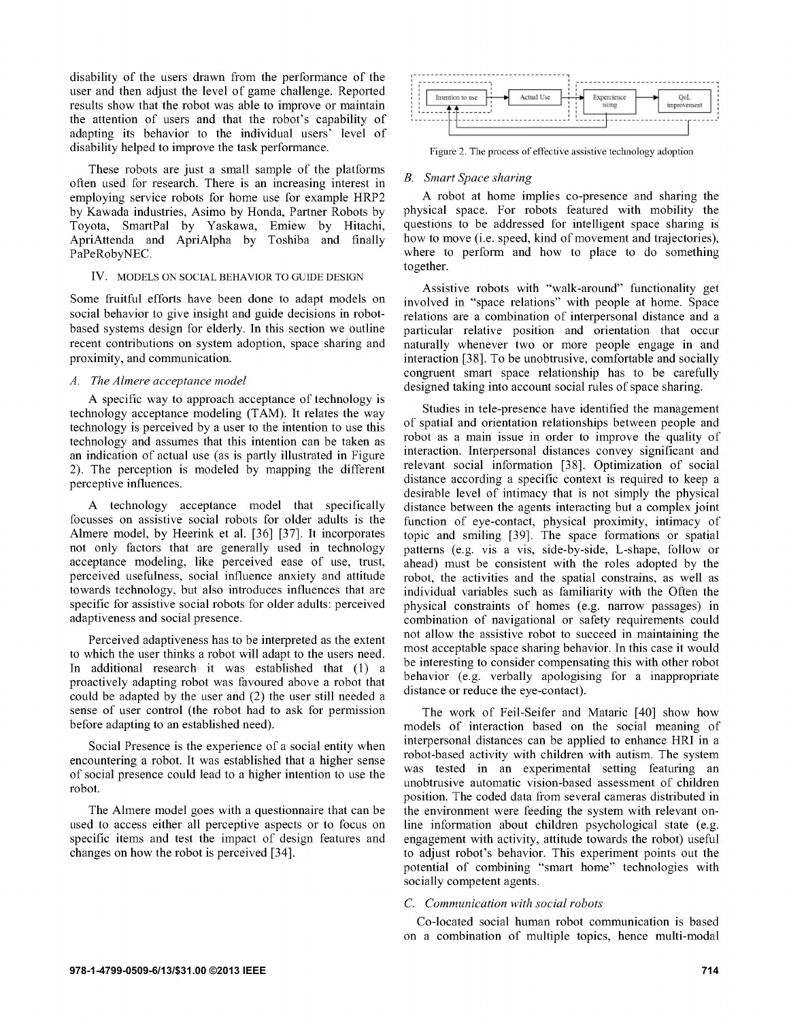disability of the users drawn from the performance of the user and then adjust the level of game challenge. Reported results show that the robot was able to improve or maintain the attention of users and that the robot's capability of adapting its behavior to the individual users' level of disability helped to improve the task performance.

These robots are just a small sample of the platforms often used for research. There is an increasing interest in employing service robots for home use for example HRP2 by Kawada industries, Asimo by Honda, Partner Robots by Toyota, SmartPal by Yaskawa, Emiew by Hitachi, ApriAttenda and ApriAlpha by Toshiba and finally PaPeRobyNEC.

# IV. MODELS ON SOCIAL BEHAVIOR TO GUIDE DESIGN

Some fruitful efforts have been done to adapt models on social behavior to give insight and guide decisions in robotbased systems design for elderly. In this section we outline recent contributions on system adoption, space sharing and proximity, and communication.

#### A. The Almere acceptance model

A specific way to approach acceptance of technology is technology acceptance modeling (TAM). It relates the way technology is perceived by a user to the intention to use this technology and assumes that this intention can be taken as an indication of actual use (as is partly illustrated in Figure 2). The perception is modeled by mapping the different perceptive influences.

A technology acceptance model that specifically focusses on assistive social robots for older adults is the Almere model, by Heerink et al. [36] [37]. It incorporates not only factors that are generally used in technology acceptance modeling, like perceived ease of use, trust, perceived usefulness, social influence anxiety and attitude towards technology, but also introduces influences that are specific for assistive social robots for older adults: perceived adaptiveness and social presence.

Perceived adaptiveness has to be interpreted as the extent to which the user thinks a robot will adapt to the users need. In additional research it was established that (1) a proactively adapting robot was favoured above a robot that could be adapted by the user and (2) the user still needed a sense of user control (the robot had to ask for permission before adapting to an established need).

Social Presence is the experience of a social entity when encountering a robot. It was established that a higher sense of social presence could lead to a higher intention to use the robot.

The Almere model goes with a questionnaire that can be used to access either all perceptive aspects or to focus on specific items and test the impact of design features and changes on how the robot is perceived [34].



Figure 2. The process of effective assistive technology adoption

# **B.** Smart Space sharing

A robot at home implies co-presence and sharing the physical space. For robots featured with mobility the questions to be addressed for intelligent space sharing is how to move (i.e. speed, kind of movement and trajectories), where to perform and how to place to do something together.

Assistive robots with "walk-around" functionality get involved in "space relations" with people at home. Space relations are a combination of interpersonal distance and a particular relative position and orientation that occur naturally whenever two or more people engage in and interaction [38]. To be unobtrusive, comfortable and socially congruent smart space relationship has to be carefully designed taking into account social rules of space sharing.

Studies in tele-presence have identified the management of spatial and orientation relationships between people and robot as a main issue in order to improve the quality of interaction. Interpersonal distances convey significant and relevant social information [38]. Optimization of social distance according a specific context is required to keep a desirable level of intimacy that is not simply the physical distance between the agents interacting but a complex joint function of eve-contact, physical proximity, intimacy of topic and smiling [39]. The space formations or spatial patterns (e.g. vis a vis, side-by-side, L-shape, follow or ahead) must be consistent with the roles adopted by the robot, the activities and the spatial constrains, as well as individual variables such as familiarity with the Often the physical constraints of homes (e.g. narrow passages) in combination of navigational or safety requirements could not allow the assistive robot to succeed in maintaining the most acceptable space sharing behavior. In this case it would be interesting to consider compensating this with other robot behavior (e.g. verbally apologising for a inappropriate distance or reduce the eye-contact).

The work of Feil-Seifer and Mataric [40] show how models of interaction based on the social meaning of interpersonal distances can be applied to enhance HRI in a robot-based activity with children with autism. The system was tested in an experimental setting featuring an unobtrusive automatic vision-based assessment of children position. The coded data from several cameras distributed in the environment were feeding the system with relevant online information about children psychological state (e.g. engagement with activity, attitude towards the robot) useful to adjust robot's behavior. This experiment points out the potential of combining "smart home" technologies with socially competent agents.

# C. Communication with social robots

Co-located social human robot communication is based on a combination of multiple topics, hence multi-modal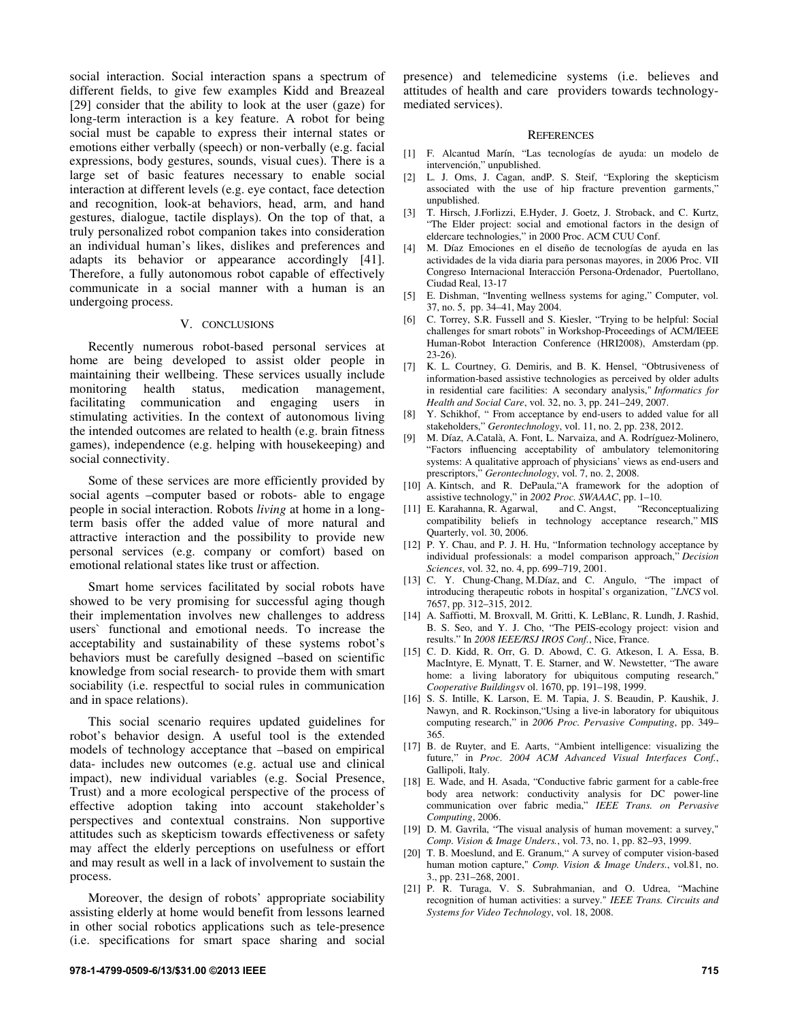social interaction. Social interaction spans a spectrum of different fields, to give few examples Kidd and Breazeal [29] consider that the ability to look at the user (gaze) for long-term interaction is a key feature. A robot for being social must be capable to express their internal states or emotions either verbally (speech) or non-verbally (e.g. facial expressions, body gestures, sounds, visual cues). There is a large set of basic features necessary to enable social interaction at different levels (e.g. eye contact, face detection and recognition, look-at behaviors, head, arm, and hand gestures, dialogue, tactile displays). On the top of that, a truly personalized robot companion takes into consideration an individual human's likes, dislikes and preferences and adapts its behavior or appearance accordingly [41]. Therefore, a fully autonomous robot capable of effectively communicate in a social manner with a human is an undergoing process.

#### V. CONCLUSIONS

Recently numerous robot-based personal services at home are being developed to assist older people in maintaining their wellbeing. These services usually include monitoring health status, medication management, management, facilitating communication and engaging users in stimulating activities. In the context of autonomous living the intended outcomes are related to health (e.g. brain fitness games), independence (e.g. helping with housekeeping) and social connectivity.

Some of these services are more efficiently provided by social agents –computer based or robots- able to engage people in social interaction. Robots *living* at home in a longterm basis offer the added value of more natural and attractive interaction and the possibility to provide new personal services (e.g. company or comfort) based on emotional relational states like trust or affection.

Smart home services facilitated by social robots have showed to be very promising for successful aging though their implementation involves new challenges to address users` functional and emotional needs. To increase the acceptability and sustainability of these systems robot's behaviors must be carefully designed –based on scientific knowledge from social research- to provide them with smart sociability (i.e. respectful to social rules in communication and in space relations).

This social scenario requires updated guidelines for robot's behavior design. A useful tool is the extended models of technology acceptance that –based on empirical data- includes new outcomes (e.g. actual use and clinical impact), new individual variables (e.g. Social Presence, Trust) and a more ecological perspective of the process of effective adoption taking into account stakeholder's perspectives and contextual constrains. Non supportive attitudes such as skepticism towards effectiveness or safety may affect the elderly perceptions on usefulness or effort and may result as well in a lack of involvement to sustain the process.

Moreover, the design of robots' appropriate sociability assisting elderly at home would benefit from lessons learned in other social robotics applications such as tele-presence (i.e. specifications for smart space sharing and social presence) and telemedicine systems (i.e. believes and attitudes of health and care providers towards technologymediated services).

#### **REFERENCES**

- [1] F. Alcantud Marín, "Las tecnologías de ayuda: un modelo de intervención," unpublished.
- [2] L. J. Oms, J. Cagan, andP. S. Steif, "Exploring the skepticism associated with the use of hip fracture prevention garments," unpublished.
- [3] T. Hirsch, J.Forlizzi, E.Hyder, J. Goetz, J. Stroback, and C. Kurtz, "The Elder project: social and emotional factors in the design of eldercare technologies," in 2000 Proc. ACM CUU Conf.
- [4] M. Díaz Emociones en el diseño de tecnologías de ayuda en las actividades de la vida diaria para personas mayores, in 2006 Proc. VII Congreso Internacional Interacción Persona-Ordenador, Puertollano, Ciudad Real, 13-17
- [5] E. Dishman, "Inventing wellness systems for aging," Computer, vol. 37, no. 5, pp. 34–41, May 2004.
- [6] C. Torrey, S.R. Fussell and S. Kiesler, "Trying to be helpful: Social challenges for smart robots" in Workshop-Proceedings of ACM/IEEE Human-Robot Interaction Conference (HRI2008), Amsterdam (pp. 23-26).
- [7] K. L. Courtney, G. Demiris, and B. K. Hensel, "Obtrusiveness of information-based assistive technologies as perceived by older adults in residential care facilities: A secondary analysis," *Informatics for Health and Social Care*, vol. 32, no. 3, pp. 241–249, 2007.
- [8] Y. Schikhof, " From acceptance by end-users to added value for all stakeholders," *Gerontechnology*, vol. 11, no. 2, pp. 238, 2012.
- [9] M. Díaz, A.Català, A. Font, L. Narvaiza, and A. Rodríguez-Molinero, "Factors influencing acceptability of ambulatory telemonitoring systems: A qualitative approach of physicians' views as end-users and prescriptors," *Gerontechnology*, vol. 7, no. 2, 2008.
- [10] A. Kintsch, and R. DePaula,"A framework for the adoption of assistive technology," in *2002 Proc. SWAAAC*, pp. 1–10.
- [11] E. Karahanna, R. Agarwal, and C. Angst, "Reconceptualizing compatibility beliefs in technology acceptance research," MIS Quarterly, vol. 30, 2006.
- [12] P. Y. Chau, and P. J. H. Hu, "Information technology acceptance by individual professionals: a model comparison approach," *Decision Sciences*, vol. 32, no. 4, pp. 699–719, 2001.
- [13] C. Y. Chung-Chang, M.Díaz, and C. Angulo, "The impact of introducing therapeutic robots in hospital's organization, "*LNCS* vol. 7657, pp. 312–315, 2012.
- [14] A. Saffiotti, M. Broxvall, M. Gritti, K. LeBlanc, R. Lundh, J. Rashid, B. S. Seo, and Y. J. Cho, "The PEIS-ecology project: vision and results." In *2008 IEEE/RSJ IROS Conf.*, Nice, France.
- [15] C. D. Kidd, R. Orr, G. D. Abowd, C. G. Atkeson, I. A. Essa, B. MacIntyre, E. Mynatt, T. E. Starner, and W. Newstetter, "The aware home: a living laboratory for ubiquitous computing research," *Cooperative Buildings*v ol. 1670, pp. 191–198, 1999.
- [16] S. S. Intille, K. Larson, E. M. Tapia, J. S. Beaudin, P. Kaushik, J. Nawyn, and R. Rockinson,"Using a live-in laboratory for ubiquitous computing research," in *2006 Proc. Pervasive Computing*, pp. 349– 365.
- [17] B. de Ruyter, and E. Aarts, "Ambient intelligence: visualizing the future," in *Proc. 2004 ACM Advanced Visual Interfaces Conf.*, Gallipoli, Italy.
- [18] E. Wade, and H. Asada, "Conductive fabric garment for a cable-free body area network: conductivity analysis for DC power-line communication over fabric media," *IEEE Trans. on Pervasive Computing*, 2006.
- [19] D. M. Gavrila, "The visual analysis of human movement: a survey," *Comp. Vision & Image Unders.*, vol. 73, no. 1, pp. 82–93, 1999.
- [20] T. B. Moeslund, and E. Granum," A survey of computer vision-based human motion capture," *Comp. Vision & Image Unders.*, vol.81, no. 3., pp. 231–268, 2001.
- [21] P. R. Turaga, V. S. Subrahmanian, and O. Udrea, "Machine" recognition of human activities: a survey." *IEEE Trans. Circuits and Systems for Video Technology*, vol. 18, 2008.